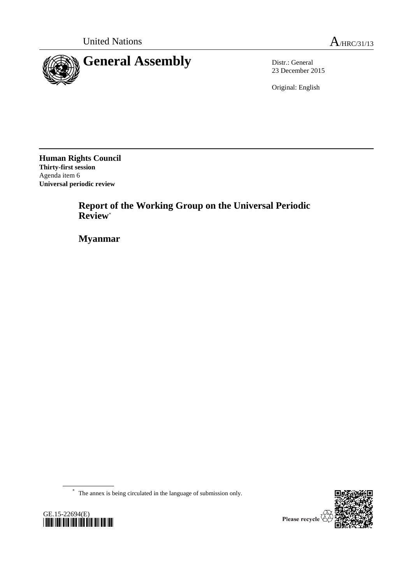

23 December 2015

Original: English

**Human Rights Council Thirty-first session** Agenda item 6 **Universal periodic review**

> **Report of the Working Group on the Universal Periodic Review**\*

**Myanmar**

\* The annex is being circulated in the language of submission only.



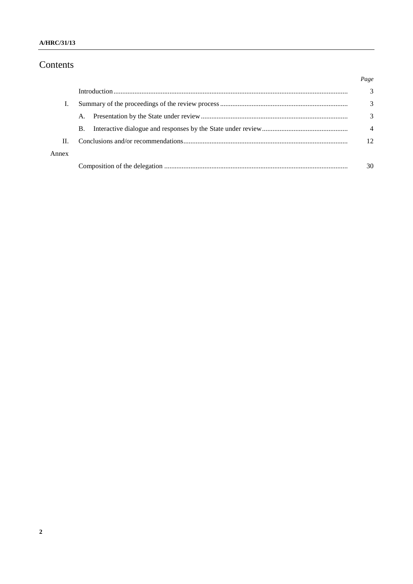#### A/HRC/31/13

# Contents

|       |           | Page           |
|-------|-----------|----------------|
|       |           | 3              |
|       |           | 3              |
|       | A.        | 3              |
|       | <b>B.</b> | $\overline{4}$ |
| Π.    |           | 12             |
| Annex |           |                |
|       |           | 30             |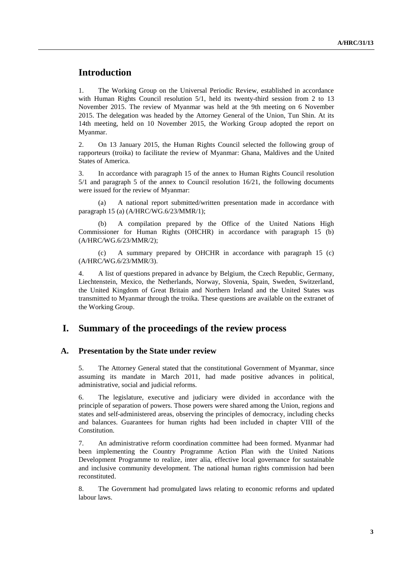## **Introduction**

1. The Working Group on the Universal Periodic Review, established in accordance with Human Rights Council resolution 5/1, held its twenty-third session from 2 to 13 November 2015. The review of Myanmar was held at the 9th meeting on 6 November 2015. The delegation was headed by the Attorney General of the Union, Tun Shin. At its 14th meeting, held on 10 November 2015, the Working Group adopted the report on Myanmar.

2. On 13 January 2015, the Human Rights Council selected the following group of rapporteurs (troika) to facilitate the review of Myanmar: Ghana, Maldives and the United States of America.

3. In accordance with paragraph 15 of the annex to Human Rights Council resolution 5/1 and paragraph 5 of the annex to Council resolution 16/21, the following documents were issued for the review of Myanmar:

(a) A national report submitted/written presentation made in accordance with paragraph 15 (a) (A/HRC/WG.6/23/MMR/1);

A compilation prepared by the Office of the United Nations High Commissioner for Human Rights (OHCHR) in accordance with paragraph 15 (b) (A/HRC/WG.6/23/MMR/2);

(c) A summary prepared by OHCHR in accordance with paragraph 15 (c) (A/HRC/WG.6/23/MMR/3).

4. A list of questions prepared in advance by Belgium, the Czech Republic, Germany, Liechtenstein, Mexico, the Netherlands, Norway, Slovenia, Spain, Sweden, Switzerland, the United Kingdom of Great Britain and Northern Ireland and the United States was transmitted to Myanmar through the troika. These questions are available on the extranet of the Working Group.

### **I. Summary of the proceedings of the review process**

#### **A. Presentation by the State under review**

5. The Attorney General stated that the constitutional Government of Myanmar, since assuming its mandate in March 2011, had made positive advances in political, administrative, social and judicial reforms.

6. The legislature, executive and judiciary were divided in accordance with the principle of separation of powers. Those powers were shared among the Union, regions and states and self-administered areas, observing the principles of democracy, including checks and balances. Guarantees for human rights had been included in chapter VIII of the Constitution.

7. An administrative reform coordination committee had been formed. Myanmar had been implementing the Country Programme Action Plan with the United Nations Development Programme to realize, inter alia, effective local governance for sustainable and inclusive community development. The national human rights commission had been reconstituted.

8. The Government had promulgated laws relating to economic reforms and updated labour laws.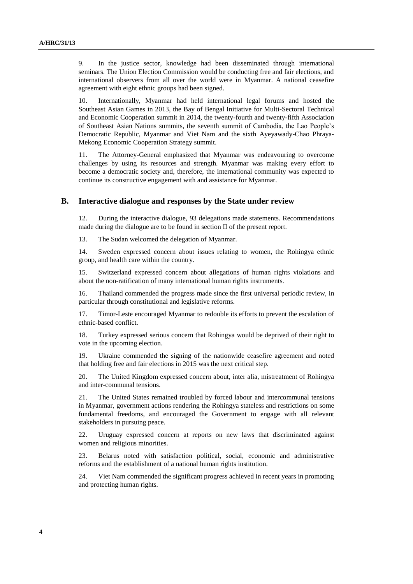9. In the justice sector, knowledge had been disseminated through international seminars. The Union Election Commission would be conducting free and fair elections, and international observers from all over the world were in Myanmar. A national ceasefire agreement with eight ethnic groups had been signed.

10. Internationally, Myanmar had held international legal forums and hosted the Southeast Asian Games in 2013, the Bay of Bengal Initiative for Multi-Sectoral Technical and Economic Cooperation summit in 2014, the twenty-fourth and twenty-fifth Association of Southeast Asian Nations summits, the seventh summit of Cambodia, the Lao People's Democratic Republic, Myanmar and Viet Nam and the sixth Ayeyawady-Chao Phraya-Mekong Economic Cooperation Strategy summit.

11. The Attorney-General emphasized that Myanmar was endeavouring to overcome challenges by using its resources and strength. Myanmar was making every effort to become a democratic society and, therefore, the international community was expected to continue its constructive engagement with and assistance for Myanmar.

#### **B. Interactive dialogue and responses by the State under review**

12. During the interactive dialogue, 93 delegations made statements. Recommendations made during the dialogue are to be found in section II of the present report.

13. The Sudan welcomed the delegation of Myanmar.

14. Sweden expressed concern about issues relating to women, the Rohingya ethnic group, and health care within the country.

15. Switzerland expressed concern about allegations of human rights violations and about the non-ratification of many international human rights instruments.

16. Thailand commended the progress made since the first universal periodic review, in particular through constitutional and legislative reforms.

17. Timor-Leste encouraged Myanmar to redouble its efforts to prevent the escalation of ethnic-based conflict.

18. Turkey expressed serious concern that Rohingya would be deprived of their right to vote in the upcoming election.

19. Ukraine commended the signing of the nationwide ceasefire agreement and noted that holding free and fair elections in 2015 was the next critical step.

20. The United Kingdom expressed concern about, inter alia, mistreatment of Rohingya and inter-communal tensions.

21. The United States remained troubled by forced labour and intercommunal tensions in Myanmar, government actions rendering the Rohingya stateless and restrictions on some fundamental freedoms, and encouraged the Government to engage with all relevant stakeholders in pursuing peace.

22. Uruguay expressed concern at reports on new laws that discriminated against women and religious minorities.

23. Belarus noted with satisfaction political, social, economic and administrative reforms and the establishment of a national human rights institution.

24. Viet Nam commended the significant progress achieved in recent years in promoting and protecting human rights.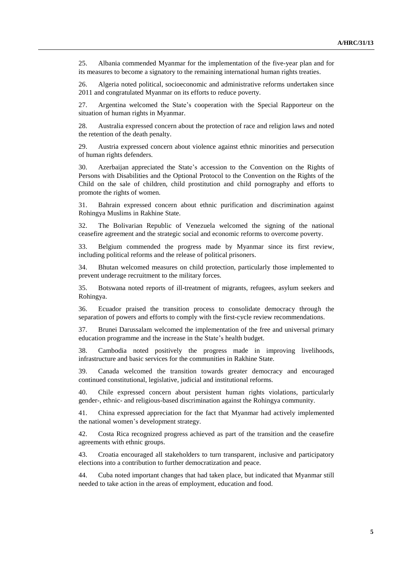25. Albania commended Myanmar for the implementation of the five-year plan and for its measures to become a signatory to the remaining international human rights treaties.

26. Algeria noted political, socioeconomic and administrative reforms undertaken since 2011 and congratulated Myanmar on its efforts to reduce poverty.

27. Argentina welcomed the State's cooperation with the Special Rapporteur on the situation of human rights in Myanmar.

28. Australia expressed concern about the protection of race and religion laws and noted the retention of the death penalty.

29. Austria expressed concern about violence against ethnic minorities and persecution of human rights defenders.

30. Azerbaijan appreciated the State's accession to the Convention on the Rights of Persons with Disabilities and the Optional Protocol to the Convention on the Rights of the Child on the sale of children, child prostitution and child pornography and efforts to promote the rights of women.

31. Bahrain expressed concern about ethnic purification and discrimination against Rohingya Muslims in Rakhine State.

32. The Bolivarian Republic of Venezuela welcomed the signing of the national ceasefire agreement and the strategic social and economic reforms to overcome poverty.

33. Belgium commended the progress made by Myanmar since its first review, including political reforms and the release of political prisoners.

34. Bhutan welcomed measures on child protection, particularly those implemented to prevent underage recruitment to the military forces.

35. Botswana noted reports of ill-treatment of migrants, refugees, asylum seekers and Rohingya.

36. Ecuador praised the transition process to consolidate democracy through the separation of powers and efforts to comply with the first-cycle review recommendations.

37. Brunei Darussalam welcomed the implementation of the free and universal primary education programme and the increase in the State's health budget.

38. Cambodia noted positively the progress made in improving livelihoods, infrastructure and basic services for the communities in Rakhine State.

39. Canada welcomed the transition towards greater democracy and encouraged continued constitutional, legislative, judicial and institutional reforms.

40. Chile expressed concern about persistent human rights violations, particularly gender-, ethnic- and religious-based discrimination against the Rohingya community.

41. China expressed appreciation for the fact that Myanmar had actively implemented the national women's development strategy.

42. Costa Rica recognized progress achieved as part of the transition and the ceasefire agreements with ethnic groups.

43. Croatia encouraged all stakeholders to turn transparent, inclusive and participatory elections into a contribution to further democratization and peace.

44. Cuba noted important changes that had taken place, but indicated that Myanmar still needed to take action in the areas of employment, education and food.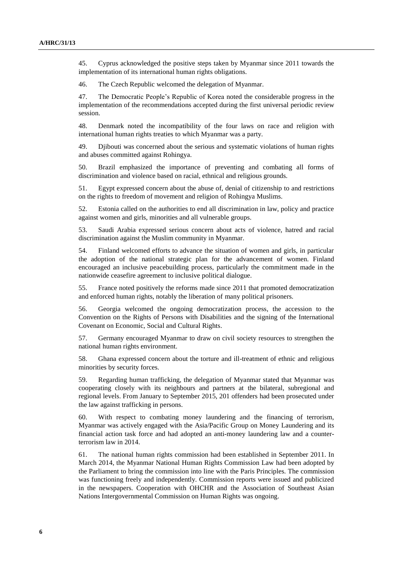45. Cyprus acknowledged the positive steps taken by Myanmar since 2011 towards the implementation of its international human rights obligations.

46. The Czech Republic welcomed the delegation of Myanmar.

47. The Democratic People's Republic of Korea noted the considerable progress in the implementation of the recommendations accepted during the first universal periodic review session.

48. Denmark noted the incompatibility of the four laws on race and religion with international human rights treaties to which Myanmar was a party.

49. Djibouti was concerned about the serious and systematic violations of human rights and abuses committed against Rohingya.

50. Brazil emphasized the importance of preventing and combating all forms of discrimination and violence based on racial, ethnical and religious grounds.

51. Egypt expressed concern about the abuse of, denial of citizenship to and restrictions on the rights to freedom of movement and religion of Rohingya Muslims.

52. Estonia called on the authorities to end all discrimination in law, policy and practice against women and girls, minorities and all vulnerable groups.

53. Saudi Arabia expressed serious concern about acts of violence, hatred and racial discrimination against the Muslim community in Myanmar.

54. Finland welcomed efforts to advance the situation of women and girls, in particular the adoption of the national strategic plan for the advancement of women. Finland encouraged an inclusive peacebuilding process, particularly the commitment made in the nationwide ceasefire agreement to inclusive political dialogue.

55. France noted positively the reforms made since 2011 that promoted democratization and enforced human rights, notably the liberation of many political prisoners.

56. Georgia welcomed the ongoing democratization process, the accession to the Convention on the Rights of Persons with Disabilities and the signing of the International Covenant on Economic, Social and Cultural Rights.

57. Germany encouraged Myanmar to draw on civil society resources to strengthen the national human rights environment.

58. Ghana expressed concern about the torture and ill-treatment of ethnic and religious minorities by security forces.

59. Regarding human trafficking, the delegation of Myanmar stated that Myanmar was cooperating closely with its neighbours and partners at the bilateral, subregional and regional levels. From January to September 2015, 201 offenders had been prosecuted under the law against trafficking in persons.

60. With respect to combating money laundering and the financing of terrorism, Myanmar was actively engaged with the Asia/Pacific Group on Money Laundering and its financial action task force and had adopted an anti-money laundering law and a counterterrorism law in 2014.

61. The national human rights commission had been established in September 2011. In March 2014, the Myanmar National Human Rights Commission Law had been adopted by the Parliament to bring the commission into line with the Paris Principles. The commission was functioning freely and independently. Commission reports were issued and publicized in the newspapers. Cooperation with OHCHR and the Association of Southeast Asian Nations Intergovernmental Commission on Human Rights was ongoing.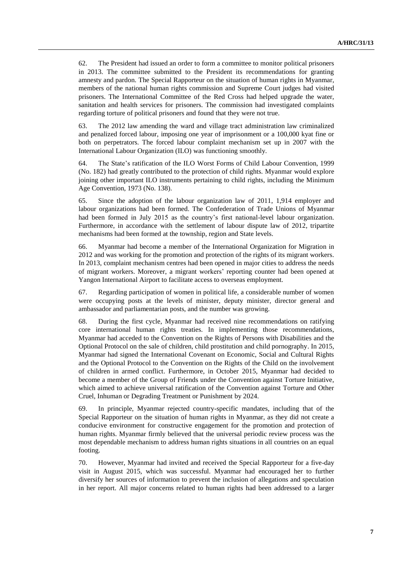62. The President had issued an order to form a committee to monitor political prisoners in 2013. The committee submitted to the President its recommendations for granting amnesty and pardon. The Special Rapporteur on the situation of human rights in Myanmar, members of the national human rights commission and Supreme Court judges had visited prisoners. The International Committee of the Red Cross had helped upgrade the water, sanitation and health services for prisoners. The commission had investigated complaints regarding torture of political prisoners and found that they were not true.

63. The 2012 law amending the ward and village tract administration law criminalized and penalized forced labour, imposing one year of imprisonment or a 100,000 kyat fine or both on perpetrators. The forced labour complaint mechanism set up in 2007 with the International Labour Organization (ILO) was functioning smoothly.

64. The State's ratification of the ILO Worst Forms of Child Labour Convention, 1999 (No. 182) had greatly contributed to the protection of child rights. Myanmar would explore joining other important ILO instruments pertaining to child rights, including the Minimum Age Convention, 1973 (No. 138).

65. Since the adoption of the labour organization law of 2011, 1,914 employer and labour organizations had been formed. The Confederation of Trade Unions of Myanmar had been formed in July 2015 as the country's first national-level labour organization. Furthermore, in accordance with the settlement of labour dispute law of 2012, tripartite mechanisms had been formed at the township, region and State levels.

66. Myanmar had become a member of the International Organization for Migration in 2012 and was working for the promotion and protection of the rights of its migrant workers. In 2013, complaint mechanism centres had been opened in major cities to address the needs of migrant workers. Moreover, a migrant workers' reporting counter had been opened at Yangon International Airport to facilitate access to overseas employment.

67. Regarding participation of women in political life, a considerable number of women were occupying posts at the levels of minister, deputy minister, director general and ambassador and parliamentarian posts, and the number was growing.

68. During the first cycle, Myanmar had received nine recommendations on ratifying core international human rights treaties. In implementing those recommendations, Myanmar had acceded to the Convention on the Rights of Persons with Disabilities and the Optional Protocol on the sale of children, child prostitution and child pornography. In 2015, Myanmar had signed the International Covenant on Economic, Social and Cultural Rights and the Optional Protocol to the Convention on the Rights of the Child on the involvement of children in armed conflict. Furthermore, in October 2015, Myanmar had decided to become a member of the Group of Friends under the Convention against Torture Initiative, which aimed to achieve universal ratification of the Convention against Torture and Other Cruel, Inhuman or Degrading Treatment or Punishment by 2024.

69. In principle, Myanmar rejected country-specific mandates, including that of the Special Rapporteur on the situation of human rights in Myanmar, as they did not create a conducive environment for constructive engagement for the promotion and protection of human rights. Myanmar firmly believed that the universal periodic review process was the most dependable mechanism to address human rights situations in all countries on an equal footing.

70. However, Myanmar had invited and received the Special Rapporteur for a five-day visit in August 2015, which was successful. Myanmar had encouraged her to further diversify her sources of information to prevent the inclusion of allegations and speculation in her report. All major concerns related to human rights had been addressed to a larger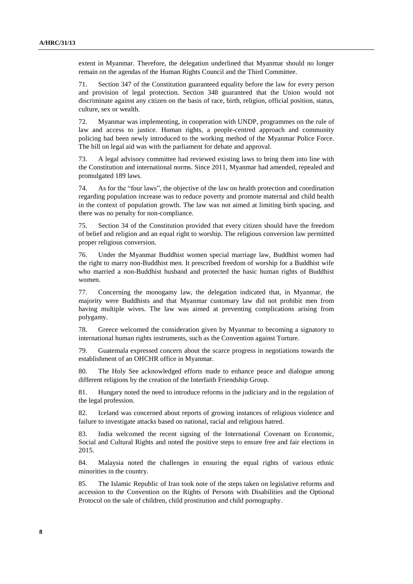extent in Myanmar. Therefore, the delegation underlined that Myanmar should no longer remain on the agendas of the Human Rights Council and the Third Committee.

71. Section 347 of the Constitution guaranteed equality before the law for every person and provision of legal protection. Section 348 guaranteed that the Union would not discriminate against any citizen on the basis of race, birth, religion, official position, status, culture, sex or wealth.

72. Myanmar was implementing, in cooperation with UNDP, programmes on the rule of law and access to justice. Human rights, a people-centred approach and community policing had been newly introduced to the working method of the Myanmar Police Force. The bill on legal aid was with the parliament for debate and approval.

73. A legal advisory committee had reviewed existing laws to bring them into line with the Constitution and international norms. Since 2011, Myanmar had amended, repealed and promulgated 189 laws.

74. As for the "four laws", the objective of the law on health protection and coordination regarding population increase was to reduce poverty and promote maternal and child health in the context of population growth. The law was not aimed at limiting birth spacing, and there was no penalty for non-compliance.

75. Section 34 of the Constitution provided that every citizen should have the freedom of belief and religion and an equal right to worship. The religious conversion law permitted proper religious conversion.

76. Under the Myanmar Buddhist women special marriage law, Buddhist women had the right to marry non-Buddhist men. It prescribed freedom of worship for a Buddhist wife who married a non-Buddhist husband and protected the basic human rights of Buddhist women.

77. Concerning the monogamy law, the delegation indicated that, in Myanmar, the majority were Buddhists and that Myanmar customary law did not prohibit men from having multiple wives. The law was aimed at preventing complications arising from polygamy.

78. Greece welcomed the consideration given by Myanmar to becoming a signatory to international human rights instruments, such as the Convention against Torture.

79. Guatemala expressed concern about the scarce progress in negotiations towards the establishment of an OHCHR office in Myanmar.

80. The Holy See acknowledged efforts made to enhance peace and dialogue among different religions by the creation of the Interfaith Friendship Group.

81. Hungary noted the need to introduce reforms in the judiciary and in the regulation of the legal profession.

82. Iceland was concerned about reports of growing instances of religious violence and failure to investigate attacks based on national, racial and religious hatred.

83. India welcomed the recent signing of the International Covenant on Economic, Social and Cultural Rights and noted the positive steps to ensure free and fair elections in 2015.

84. Malaysia noted the challenges in ensuring the equal rights of various ethnic minorities in the country.

85. The Islamic Republic of Iran took note of the steps taken on legislative reforms and accession to the Convention on the Rights of Persons with Disabilities and the Optional Protocol on the sale of children, child prostitution and child pornography.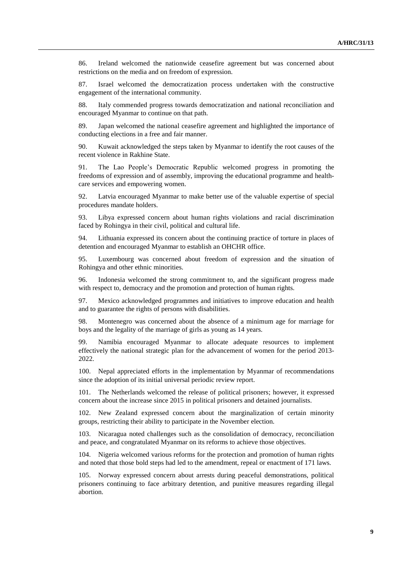86. Ireland welcomed the nationwide ceasefire agreement but was concerned about restrictions on the media and on freedom of expression.

87. Israel welcomed the democratization process undertaken with the constructive engagement of the international community.

88. Italy commended progress towards democratization and national reconciliation and encouraged Myanmar to continue on that path.

89. Japan welcomed the national ceasefire agreement and highlighted the importance of conducting elections in a free and fair manner.

90. Kuwait acknowledged the steps taken by Myanmar to identify the root causes of the recent violence in Rakhine State.

91. The Lao People's Democratic Republic welcomed progress in promoting the freedoms of expression and of assembly, improving the educational programme and healthcare services and empowering women.

92. Latvia encouraged Myanmar to make better use of the valuable expertise of special procedures mandate holders.

93. Libya expressed concern about human rights violations and racial discrimination faced by Rohingya in their civil, political and cultural life.

94. Lithuania expressed its concern about the continuing practice of torture in places of detention and encouraged Myanmar to establish an OHCHR office.

95. Luxembourg was concerned about freedom of expression and the situation of Rohingya and other ethnic minorities.

96. Indonesia welcomed the strong commitment to, and the significant progress made with respect to, democracy and the promotion and protection of human rights.

97. Mexico acknowledged programmes and initiatives to improve education and health and to guarantee the rights of persons with disabilities.

98. Montenegro was concerned about the absence of a minimum age for marriage for boys and the legality of the marriage of girls as young as 14 years.

99. Namibia encouraged Myanmar to allocate adequate resources to implement effectively the national strategic plan for the advancement of women for the period 2013- 2022.

100. Nepal appreciated efforts in the implementation by Myanmar of recommendations since the adoption of its initial universal periodic review report.

101. The Netherlands welcomed the release of political prisoners; however, it expressed concern about the increase since 2015 in political prisoners and detained journalists.

102. New Zealand expressed concern about the marginalization of certain minority groups, restricting their ability to participate in the November election.

103. Nicaragua noted challenges such as the consolidation of democracy, reconciliation and peace, and congratulated Myanmar on its reforms to achieve those objectives.

104. Nigeria welcomed various reforms for the protection and promotion of human rights and noted that those bold steps had led to the amendment, repeal or enactment of 171 laws.

105. Norway expressed concern about arrests during peaceful demonstrations, political prisoners continuing to face arbitrary detention, and punitive measures regarding illegal abortion.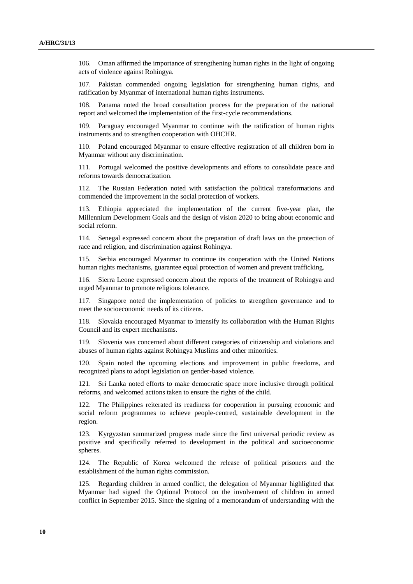106. Oman affirmed the importance of strengthening human rights in the light of ongoing acts of violence against Rohingya.

107. Pakistan commended ongoing legislation for strengthening human rights, and ratification by Myanmar of international human rights instruments.

Panama noted the broad consultation process for the preparation of the national report and welcomed the implementation of the first-cycle recommendations.

109. Paraguay encouraged Myanmar to continue with the ratification of human rights instruments and to strengthen cooperation with OHCHR.

110. Poland encouraged Myanmar to ensure effective registration of all children born in Myanmar without any discrimination.

111. Portugal welcomed the positive developments and efforts to consolidate peace and reforms towards democratization.

112. The Russian Federation noted with satisfaction the political transformations and commended the improvement in the social protection of workers.

113. Ethiopia appreciated the implementation of the current five-year plan, the Millennium Development Goals and the design of vision 2020 to bring about economic and social reform.

114. Senegal expressed concern about the preparation of draft laws on the protection of race and religion, and discrimination against Rohingya.

115. Serbia encouraged Myanmar to continue its cooperation with the United Nations human rights mechanisms, guarantee equal protection of women and prevent trafficking.

116. Sierra Leone expressed concern about the reports of the treatment of Rohingya and urged Myanmar to promote religious tolerance.

117. Singapore noted the implementation of policies to strengthen governance and to meet the socioeconomic needs of its citizens.

118. Slovakia encouraged Myanmar to intensify its collaboration with the Human Rights Council and its expert mechanisms.

119. Slovenia was concerned about different categories of citizenship and violations and abuses of human rights against Rohingya Muslims and other minorities.

120. Spain noted the upcoming elections and improvement in public freedoms, and recognized plans to adopt legislation on gender-based violence.

121. Sri Lanka noted efforts to make democratic space more inclusive through political reforms, and welcomed actions taken to ensure the rights of the child.

122. The Philippines reiterated its readiness for cooperation in pursuing economic and social reform programmes to achieve people-centred, sustainable development in the region.

123. Kyrgyzstan summarized progress made since the first universal periodic review as positive and specifically referred to development in the political and socioeconomic spheres.

124. The Republic of Korea welcomed the release of political prisoners and the establishment of the human rights commission.

125. Regarding children in armed conflict, the delegation of Myanmar highlighted that Myanmar had signed the Optional Protocol on the involvement of children in armed conflict in September 2015. Since the signing of a memorandum of understanding with the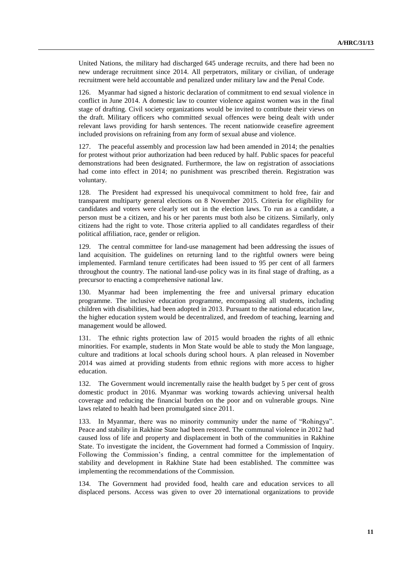United Nations, the military had discharged 645 underage recruits, and there had been no new underage recruitment since 2014. All perpetrators, military or civilian, of underage recruitment were held accountable and penalized under military law and the Penal Code.

126. Myanmar had signed a historic declaration of commitment to end sexual violence in conflict in June 2014. A domestic law to counter violence against women was in the final stage of drafting. Civil society organizations would be invited to contribute their views on the draft. Military officers who committed sexual offences were being dealt with under relevant laws providing for harsh sentences. The recent nationwide ceasefire agreement included provisions on refraining from any form of sexual abuse and violence.

127. The peaceful assembly and procession law had been amended in 2014; the penalties for protest without prior authorization had been reduced by half. Public spaces for peaceful demonstrations had been designated. Furthermore, the law on registration of associations had come into effect in 2014; no punishment was prescribed therein. Registration was voluntary.

128. The President had expressed his unequivocal commitment to hold free, fair and transparent multiparty general elections on 8 November 2015. Criteria for eligibility for candidates and voters were clearly set out in the election laws. To run as a candidate, a person must be a citizen, and his or her parents must both also be citizens. Similarly, only citizens had the right to vote. Those criteria applied to all candidates regardless of their political affiliation, race, gender or religion.

129. The central committee for land-use management had been addressing the issues of land acquisition. The guidelines on returning land to the rightful owners were being implemented. Farmland tenure certificates had been issued to 95 per cent of all farmers throughout the country. The national land-use policy was in its final stage of drafting, as a precursor to enacting a comprehensive national law.

130. Myanmar had been implementing the free and universal primary education programme. The inclusive education programme, encompassing all students, including children with disabilities, had been adopted in 2013. Pursuant to the national education law, the higher education system would be decentralized, and freedom of teaching, learning and management would be allowed.

131. The ethnic rights protection law of 2015 would broaden the rights of all ethnic minorities. For example, students in Mon State would be able to study the Mon language, culture and traditions at local schools during school hours. A plan released in November 2014 was aimed at providing students from ethnic regions with more access to higher education.

132. The Government would incrementally raise the health budget by 5 per cent of gross domestic product in 2016. Myanmar was working towards achieving universal health coverage and reducing the financial burden on the poor and on vulnerable groups. Nine laws related to health had been promulgated since 2011.

133. In Myanmar, there was no minority community under the name of "Rohingya". Peace and stability in Rakhine State had been restored. The communal violence in 2012 had caused loss of life and property and displacement in both of the communities in Rakhine State. To investigate the incident, the Government had formed a Commission of Inquiry. Following the Commission's finding, a central committee for the implementation of stability and development in Rakhine State had been established. The committee was implementing the recommendations of the Commission.

134. The Government had provided food, health care and education services to all displaced persons. Access was given to over 20 international organizations to provide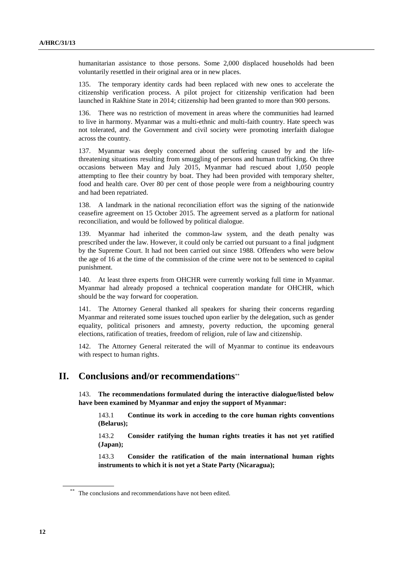humanitarian assistance to those persons. Some 2,000 displaced households had been voluntarily resettled in their original area or in new places.

135. The temporary identity cards had been replaced with new ones to accelerate the citizenship verification process. A pilot project for citizenship verification had been launched in Rakhine State in 2014; citizenship had been granted to more than 900 persons.

136. There was no restriction of movement in areas where the communities had learned to live in harmony. Myanmar was a multi-ethnic and multi-faith country. Hate speech was not tolerated, and the Government and civil society were promoting interfaith dialogue across the country.

137. Myanmar was deeply concerned about the suffering caused by and the lifethreatening situations resulting from smuggling of persons and human trafficking. On three occasions between May and July 2015, Myanmar had rescued about 1,050 people attempting to flee their country by boat. They had been provided with temporary shelter, food and health care. Over 80 per cent of those people were from a neighbouring country and had been repatriated.

138. A landmark in the national reconciliation effort was the signing of the nationwide ceasefire agreement on 15 October 2015. The agreement served as a platform for national reconciliation, and would be followed by political dialogue.

139. Myanmar had inherited the common-law system, and the death penalty was prescribed under the law. However, it could only be carried out pursuant to a final judgment by the Supreme Court. It had not been carried out since 1988. Offenders who were below the age of 16 at the time of the commission of the crime were not to be sentenced to capital punishment.

140. At least three experts from OHCHR were currently working full time in Myanmar. Myanmar had already proposed a technical cooperation mandate for OHCHR, which should be the way forward for cooperation.

141. The Attorney General thanked all speakers for sharing their concerns regarding Myanmar and reiterated some issues touched upon earlier by the delegation, such as gender equality, political prisoners and amnesty, poverty reduction, the upcoming general elections, ratification of treaties, freedom of religion, rule of law and citizenship.

142. The Attorney General reiterated the will of Myanmar to continue its endeavours with respect to human rights.

## **II. Conclusions and/or recommendations**

143. **The recommendations formulated during the interactive dialogue/listed below have been examined by Myanmar and enjoy the support of Myanmar:**

143.1 **Continue its work in acceding to the core human rights conventions (Belarus);**

143.2 **Consider ratifying the human rights treaties it has not yet ratified (Japan);**

143.3 **Consider the ratification of the main international human rights instruments to which it is not yet a State Party (Nicaragua);**

The conclusions and recommendations have not been edited.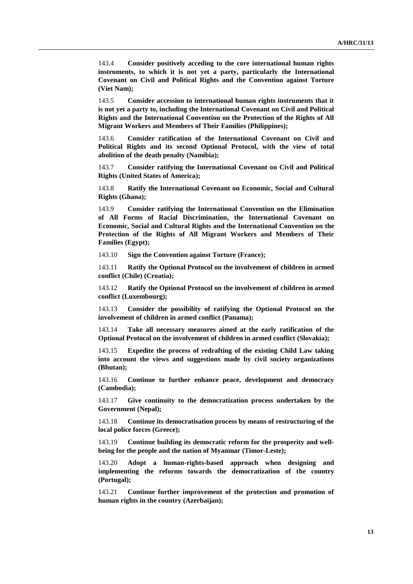143.4 **Consider positively acceding to the core international human rights instruments, to which it is not yet a party, particularly the International Covenant on Civil and Political Rights and the Convention against Torture (Viet Nam);**

143.5 **Consider accession to international human rights instruments that it is not yet a party to, including the International Covenant on Civil and Political Rights and the International Convention on the Protection of the Rights of All Migrant Workers and Members of Their Families (Philippines);**

143.6 **Consider ratification of the International Covenant on Civil and Political Rights and its second Optional Protocol, with the view of total abolition of the death penalty (Namibia);**

143.7 **Consider ratifying the International Covenant on Civil and Political Rights (United States of America);**

143.8 **Ratify the International Covenant on Economic, Social and Cultural Rights (Ghana);**

143.9 **Consider ratifying the International Convention on the Elimination of All Forms of Racial Discrimination, the International Covenant on Economic, Social and Cultural Rights and the International Convention on the Protection of the Rights of All Migrant Workers and Members of Their Families (Egypt);**

143.10 **Sign the Convention against Torture (France);**

143.11 **Ratify the Optional Protocol on the involvement of children in armed conflict (Chile) (Croatia);**

143.12 **Ratify the Optional Protocol on the involvement of children in armed conflict (Luxembourg);**

143.13 **Consider the possibility of ratifying the Optional Protocol on the involvement of children in armed conflict (Panama);**

143.14 **Take all necessary measures aimed at the early ratification of the Optional Protocol on the involvement of children in armed conflict (Slovakia);**

143.15 **Expedite the process of redrafting of the existing Child Law taking into account the views and suggestions made by civil society organizations (Bhutan);**

143.16 **Continue to further enhance peace, development and democracy (Cambodia);**

143.17 **Give continuity to the democratization process undertaken by the Government (Nepal);**

143.18 **Continue its democratisation process by means of restructuring of the local police forces (Greece);**

143.19 **Continue building its democratic reform for the prosperity and wellbeing for the people and the nation of Myanmar (Timor-Leste);**

143.20 **Adopt a human-rights-based approach when designing and implementing the reforms towards the democratization of the country (Portugal);**

143.21 **Continue further improvement of the protection and promotion of human rights in the country (Azerbaijan);**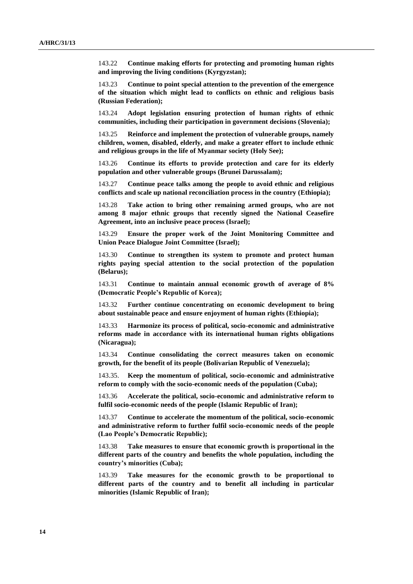143.22 **Continue making efforts for protecting and promoting human rights and improving the living conditions (Kyrgyzstan);**

143.23 **Continue to point special attention to the prevention of the emergence of the situation which might lead to conflicts on ethnic and religious basis (Russian Federation);**

143.24 **Adopt legislation ensuring protection of human rights of ethnic communities, including their participation in government decisions (Slovenia);**

143.25 **Reinforce and implement the protection of vulnerable groups, namely children, women, disabled, elderly, and make a greater effort to include ethnic and religious groups in the life of Myanmar society (Holy See);**

143.26 **Continue its efforts to provide protection and care for its elderly population and other vulnerable groups (Brunei Darussalam);**

143.27 **Continue peace talks among the people to avoid ethnic and religious conflicts and scale up national reconciliation process in the country (Ethiopia);**

143.28 **Take action to bring other remaining armed groups, who are not among 8 major ethnic groups that recently signed the National Ceasefire Agreement, into an inclusive peace process (Israel);**

143.29 **Ensure the proper work of the Joint Monitoring Committee and Union Peace Dialogue Joint Committee (Israel);**

143.30 **Continue to strengthen its system to promote and protect human rights paying special attention to the social protection of the population (Belarus);**

143.31 **Continue to maintain annual economic growth of average of 8% (Democratic People's Republic of Korea);**

143.32 **Further continue concentrating on economic development to bring about sustainable peace and ensure enjoyment of human rights (Ethiopia);**

143.33 **Harmonize its process of political, socio-economic and administrative reforms made in accordance with its international human rights obligations (Nicaragua);**

143.34 **Continue consolidating the correct measures taken on economic growth, for the benefit of its people (Bolivarian Republic of Venezuela);**

143.35. **Keep the momentum of political, socio-economic and administrative reform to comply with the socio-economic needs of the population (Cuba);**

143.36 **Accelerate the political, socio-economic and administrative reform to fulfil socio-economic needs of the people (Islamic Republic of Iran);**

143.37 **Continue to accelerate the momentum of the political, socio-economic and administrative reform to further fulfil socio-economic needs of the people (Lao People's Democratic Republic);**

143.38 **Take measures to ensure that economic growth is proportional in the different parts of the country and benefits the whole population, including the country's minorities (Cuba);**

143.39 **Take measures for the economic growth to be proportional to different parts of the country and to benefit all including in particular minorities (Islamic Republic of Iran);**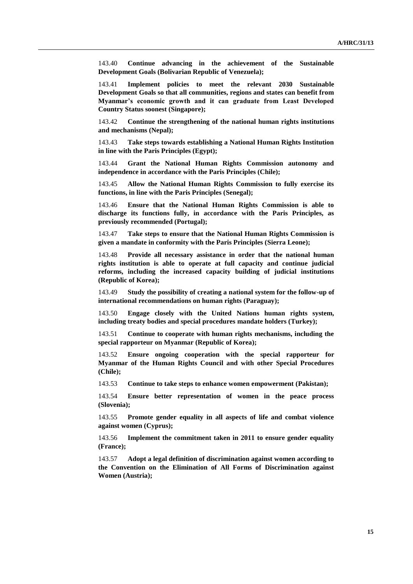143.40 **Continue advancing in the achievement of the Sustainable Development Goals (Bolivarian Republic of Venezuela);**

143.41 **Implement policies to meet the relevant 2030 Sustainable Development Goals so that all communities, regions and states can benefit from Myanmar's economic growth and it can graduate from Least Developed Country Status soonest (Singapore);**

143.42 **Continue the strengthening of the national human rights institutions and mechanisms (Nepal);**

143.43 **Take steps towards establishing a National Human Rights Institution in line with the Paris Principles (Egypt);**

143.44 **Grant the National Human Rights Commission autonomy and independence in accordance with the Paris Principles (Chile);**

143.45 **Allow the National Human Rights Commission to fully exercise its functions, in line with the Paris Principles (Senegal);**

143.46 **Ensure that the National Human Rights Commission is able to discharge its functions fully, in accordance with the Paris Principles, as previously recommended (Portugal);**

143.47 **Take steps to ensure that the National Human Rights Commission is given a mandate in conformity with the Paris Principles (Sierra Leone);**

143.48 **Provide all necessary assistance in order that the national human rights institution is able to operate at full capacity and continue judicial reforms, including the increased capacity building of judicial institutions (Republic of Korea);**

143.49 **Study the possibility of creating a national system for the follow-up of international recommendations on human rights (Paraguay);**

143.50 **Engage closely with the United Nations human rights system, including treaty bodies and special procedures mandate holders (Turkey);**

143.51 **Continue to cooperate with human rights mechanisms, including the special rapporteur on Myanmar (Republic of Korea);**

143.52 **Ensure ongoing cooperation with the special rapporteur for Myanmar of the Human Rights Council and with other Special Procedures (Chile);**

143.53 **Continue to take steps to enhance women empowerment (Pakistan);**

143.54 **Ensure better representation of women in the peace process (Slovenia);**

143.55 **Promote gender equality in all aspects of life and combat violence against women (Cyprus);**

143.56 **Implement the commitment taken in 2011 to ensure gender equality (France);**

143.57 **Adopt a legal definition of discrimination against women according to the Convention on the Elimination of All Forms of Discrimination against Women (Austria);**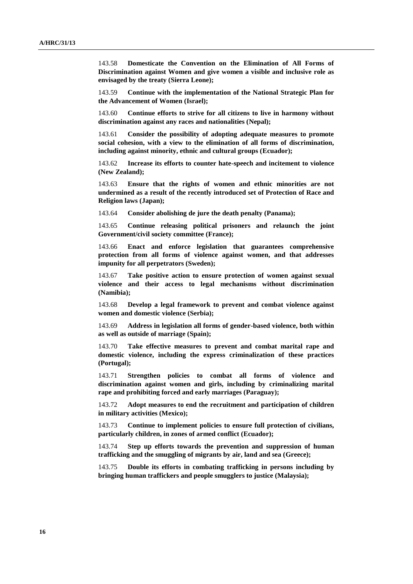143.58 **Domesticate the Convention on the Elimination of All Forms of Discrimination against Women and give women a visible and inclusive role as envisaged by the treaty (Sierra Leone);**

143.59 **Continue with the implementation of the National Strategic Plan for the Advancement of Women (Israel);**

143.60 **Continue efforts to strive for all citizens to live in harmony without discrimination against any races and nationalities (Nepal);**

143.61 **Consider the possibility of adopting adequate measures to promote social cohesion, with a view to the elimination of all forms of discrimination, including against minority, ethnic and cultural groups (Ecuador);**

143.62 **Increase its efforts to counter hate-speech and incitement to violence (New Zealand);**

143.63 **Ensure that the rights of women and ethnic minorities are not undermined as a result of the recently introduced set of Protection of Race and Religion laws (Japan);**

143.64 **Consider abolishing de jure the death penalty (Panama);**

143.65 **Continue releasing political prisoners and relaunch the joint Government/civil society committee (France);**

143.66 **Enact and enforce legislation that guarantees comprehensive protection from all forms of violence against women, and that addresses impunity for all perpetrators (Sweden);**

143.67 **Take positive action to ensure protection of women against sexual violence and their access to legal mechanisms without discrimination (Namibia);**

143.68 **Develop a legal framework to prevent and combat violence against women and domestic violence (Serbia);**

143.69 **Address in legislation all forms of gender-based violence, both within as well as outside of marriage (Spain);**

143.70 **Take effective measures to prevent and combat marital rape and domestic violence, including the express criminalization of these practices (Portugal);**

143.71 **Strengthen policies to combat all forms of violence and discrimination against women and girls, including by criminalizing marital rape and prohibiting forced and early marriages (Paraguay);**

143.72 **Adopt measures to end the recruitment and participation of children in military activities (Mexico);**

143.73 **Continue to implement policies to ensure full protection of civilians, particularly children, in zones of armed conflict (Ecuador);**

143.74 **Step up efforts towards the prevention and suppression of human trafficking and the smuggling of migrants by air, land and sea (Greece);**

143.75 **Double its efforts in combating trafficking in persons including by bringing human traffickers and people smugglers to justice (Malaysia);**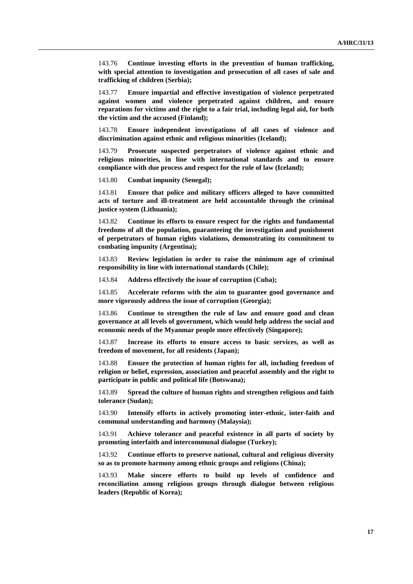143.76 **Continue investing efforts in the prevention of human trafficking, with special attention to investigation and prosecution of all cases of sale and trafficking of children (Serbia);**

143.77 **Ensure impartial and effective investigation of violence perpetrated against women and violence perpetrated against children, and ensure reparations for victims and the right to a fair trial, including legal aid, for both the victim and the accused (Finland);**

143.78 **Ensure independent investigations of all cases of violence and discrimination against ethnic and religious minorities (Iceland);**

143.79 **Prosecute suspected perpetrators of violence against ethnic and religious minorities, in line with international standards and to ensure compliance with due process and respect for the rule of law (Iceland);**

143.80 **Combat impunity (Senegal);**

143.81 **Ensure that police and military officers alleged to have committed acts of torture and ill-treatment are held accountable through the criminal justice system (Lithuania);**

143.82 **Continue its efforts to ensure respect for the rights and fundamental freedoms of all the population, guaranteeing the investigation and punishment of perpetrators of human rights violations, demonstrating its commitment to combating impunity (Argentina);**

143.83 **Review legislation in order to raise the minimum age of criminal responsibility in line with international standards (Chile);**

143.84 **Address effectively the issue of corruption (Cuba);**

143.85 **Accelerate reforms with the aim to guarantee good governance and more vigorously address the issue of corruption (Georgia);**

143.86 **Continue to strengthen the rule of law and ensure good and clean governance at all levels of government, which would help address the social and economic needs of the Myanmar people more effectively (Singapore);**

143.87 **Increase its efforts to ensure access to basic services, as well as freedom of movement, for all residents (Japan);**

143.88 **Ensure the protection of human rights for all, including freedom of religion or belief, expression, association and peaceful assembly and the right to participate in public and political life (Botswana);**

143.89 **Spread the culture of human rights and strengthen religious and faith tolerance (Sudan);**

143.90 **Intensify efforts in actively promoting inter-ethnic, inter-faith and communal understanding and harmony (Malaysia);**

143.91 **Achieve tolerance and peaceful existence in all parts of society by promoting interfaith and intercommunal dialogue (Turkey);**

143.92 **Continue efforts to preserve national, cultural and religious diversity so as to promote harmony among ethnic groups and religions (China);**

143.93 **Make sincere efforts to build up levels of confidence and reconciliation among religious groups through dialogue between religious leaders (Republic of Korea);**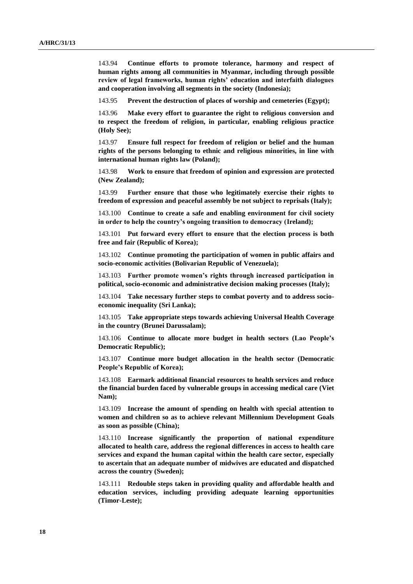143.94 **Continue efforts to promote tolerance, harmony and respect of human rights among all communities in Myanmar, including through possible review of legal frameworks, human rights' education and interfaith dialogues and cooperation involving all segments in the society (Indonesia);**

143.95 **Prevent the destruction of places of worship and cemeteries (Egypt);**

143.96 **Make every effort to guarantee the right to religious conversion and to respect the freedom of religion, in particular, enabling religious practice (Holy See);**

143.97 **Ensure full respect for freedom of religion or belief and the human rights of the persons belonging to ethnic and religious minorities, in line with international human rights law (Poland);**

143.98 **Work to ensure that freedom of opinion and expression are protected (New Zealand);**

143.99 **Further ensure that those who legitimately exercise their rights to freedom of expression and peaceful assembly be not subject to reprisals (Italy);**

143.100 **Continue to create a safe and enabling environment for civil society in order to help the country's ongoing transition to democracy (Ireland);**

143.101 **Put forward every effort to ensure that the election process is both free and fair (Republic of Korea);**

143.102 **Continue promoting the participation of women in public affairs and socio-economic activities (Bolivarian Republic of Venezuela);**

143.103 **Further promote women's rights through increased participation in political, socio-economic and administrative decision making processes (Italy);**

143.104 **Take necessary further steps to combat poverty and to address socioeconomic inequality (Sri Lanka);**

143.105 **Take appropriate steps towards achieving Universal Health Coverage in the country (Brunei Darussalam);**

143.106 **Continue to allocate more budget in health sectors (Lao People's Democratic Republic);**

143.107 **Continue more budget allocation in the health sector (Democratic People's Republic of Korea);**

143.108 **Earmark additional financial resources to health services and reduce the financial burden faced by vulnerable groups in accessing medical care (Viet Nam);**

143.109 **Increase the amount of spending on health with special attention to women and children so as to achieve relevant Millennium Development Goals as soon as possible (China);**

143.110 **Increase significantly the proportion of national expenditure allocated to health care, address the regional differences in access to health care services and expand the human capital within the health care sector, especially to ascertain that an adequate number of midwives are educated and dispatched across the country (Sweden);**

143.111 **Redouble steps taken in providing quality and affordable health and education services, including providing adequate learning opportunities (Timor-Leste);**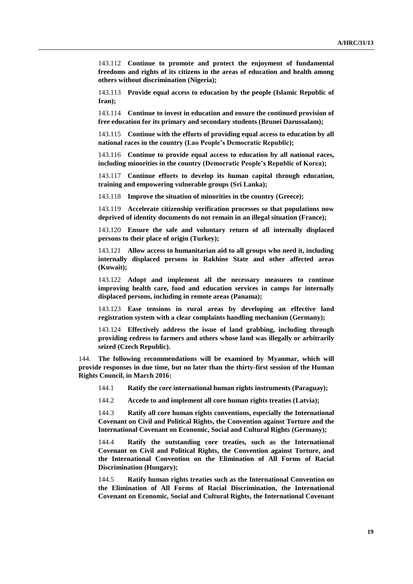143.112 **Continue to promote and protect the enjoyment of fundamental freedoms and rights of its citizens in the areas of education and health among others without discrimination (Nigeria);**

143.113 **Provide equal access to education by the people (Islamic Republic of Iran);**

143.114 **Continue to invest in education and ensure the continued provision of free education for its primary and secondary students (Brunei Darussalam);**

143.115 **Continue with the efforts of providing equal access to education by all national races in the country (Lao People's Democratic Republic);**

143.116 **Continue to provide equal access to education by all national races, including minorities in the country (Democratic People's Republic of Korea);**

143.117 **Continue efforts to develop its human capital through education, training and empowering vulnerable groups (Sri Lanka);**

143.118 **Improve the situation of minorities in the country (Greece);**

143.119 **Accelerate citizenship verification processes so that populations now deprived of identity documents do not remain in an illegal situation (France);**

143.120 **Ensure the safe and voluntary return of all internally displaced persons to their place of origin (Turkey);**

143.121 **Allow access to humanitarian aid to all groups who need it, including internally displaced persons in Rakhine State and other affected areas (Kuwait);**

143.122 **Adopt and implement all the necessary measures to continue improving health care, food and education services in camps for internally displaced persons, including in remote areas (Panama);**

143.123 **Ease tensions in rural areas by developing an effective land registration system with a clear complaints handling mechanism (Germany);**

143.124 **Effectively address the issue of land grabbing, including through providing redress to farmers and others whose land was illegally or arbitrarily seized (Czech Republic).**

144. **The following recommendations will be examined by Myanmar, which will provide responses in due time, but no later than the thirty-first session of the Human Rights Council, in March 2016:**

144.1 **Ratify the core international human rights instruments (Paraguay);**

144.2 **Accede to and implement all core human rights treaties (Latvia);**

144.3 **Ratify all core human rights conventions, especially the International Covenant on Civil and Political Rights, the Convention against Torture and the International Covenant on Economic, Social and Cultural Rights (Germany);**

144.4 **Ratify the outstanding core treaties, such as the International Covenant on Civil and Political Rights, the Convention against Torture, and the International Convention on the Elimination of All Forms of Racial Discrimination (Hungary);**

144.5 **Ratify human rights treaties such as the International Convention on the Elimination of All Forms of Racial Discrimination, the International Covenant on Economic, Social and Cultural Rights, the International Covenant**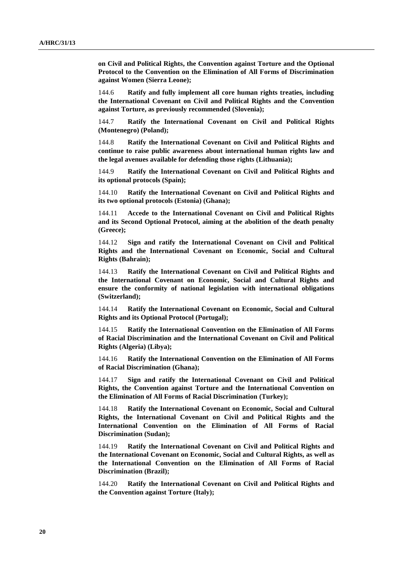**on Civil and Political Rights, the Convention against Torture and the Optional Protocol to the Convention on the Elimination of All Forms of Discrimination against Women (Sierra Leone);**

144.6 **Ratify and fully implement all core human rights treaties, including the International Covenant on Civil and Political Rights and the Convention against Torture, as previously recommended (Slovenia);**

144.7 **Ratify the International Covenant on Civil and Political Rights (Montenegro) (Poland);**

144.8 **Ratify the International Covenant on Civil and Political Rights and continue to raise public awareness about international human rights law and the legal avenues available for defending those rights (Lithuania);**

144.9 **Ratify the International Covenant on Civil and Political Rights and its optional protocols (Spain);**

144.10 **Ratify the International Covenant on Civil and Political Rights and its two optional protocols (Estonia) (Ghana);**

144.11 **Accede to the International Covenant on Civil and Political Rights and its Second Optional Protocol, aiming at the abolition of the death penalty (Greece);**

144.12 **Sign and ratify the International Covenant on Civil and Political Rights and the International Covenant on Economic, Social and Cultural Rights (Bahrain);**

144.13 **Ratify the International Covenant on Civil and Political Rights and the International Covenant on Economic, Social and Cultural Rights and ensure the conformity of national legislation with international obligations (Switzerland);**

144.14 **Ratify the International Covenant on Economic, Social and Cultural Rights and its Optional Protocol (Portugal);**

144.15 **Ratify the International Convention on the Elimination of All Forms of Racial Discrimination and the International Covenant on Civil and Political Rights (Algeria) (Libya);**

144.16 **Ratify the International Convention on the Elimination of All Forms of Racial Discrimination (Ghana);**

144.17 **Sign and ratify the International Covenant on Civil and Political Rights, the Convention against Torture and the International Convention on the Elimination of All Forms of Racial Discrimination (Turkey);**

144.18 **Ratify the International Covenant on Economic, Social and Cultural Rights, the International Covenant on Civil and Political Rights and the International Convention on the Elimination of All Forms of Racial Discrimination (Sudan);**

144.19 **Ratify the International Covenant on Civil and Political Rights and the International Covenant on Economic, Social and Cultural Rights, as well as the International Convention on the Elimination of All Forms of Racial Discrimination (Brazil);**

144.20 **Ratify the International Covenant on Civil and Political Rights and the Convention against Torture (Italy);**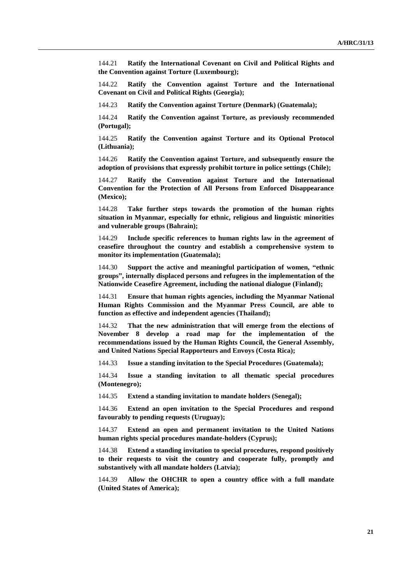144.21 **Ratify the International Covenant on Civil and Political Rights and the Convention against Torture (Luxembourg);**

144.22 **Ratify the Convention against Torture and the International Covenant on Civil and Political Rights (Georgia);**

144.23 **Ratify the Convention against Torture (Denmark) (Guatemala);**

144.24 **Ratify the Convention against Torture, as previously recommended (Portugal);**

144.25 **Ratify the Convention against Torture and its Optional Protocol (Lithuania);**

144.26 **Ratify the Convention against Torture, and subsequently ensure the adoption of provisions that expressly prohibit torture in police settings (Chile);**

144.27 **Ratify the Convention against Torture and the International Convention for the Protection of All Persons from Enforced Disappearance (Mexico);**

144.28 **Take further steps towards the promotion of the human rights situation in Myanmar, especially for ethnic, religious and linguistic minorities and vulnerable groups (Bahrain);**

144.29 **Include specific references to human rights law in the agreement of ceasefire throughout the country and establish a comprehensive system to monitor its implementation (Guatemala);**

144.30 **Support the active and meaningful participation of women, "ethnic groups", internally displaced persons and refugees in the implementation of the Nationwide Ceasefire Agreement, including the national dialogue (Finland);**

144.31 **Ensure that human rights agencies, including the Myanmar National Human Rights Commission and the Myanmar Press Council, are able to function as effective and independent agencies (Thailand);**

144.32 **That the new administration that will emerge from the elections of November 8 develop a road map for the implementation of the recommendations issued by the Human Rights Council, the General Assembly, and United Nations Special Rapporteurs and Envoys (Costa Rica);**

144.33 **Issue a standing invitation to the Special Procedures (Guatemala);**

144.34 **Issue a standing invitation to all thematic special procedures (Montenegro);**

144.35 **Extend a standing invitation to mandate holders (Senegal);**

144.36 **Extend an open invitation to the Special Procedures and respond favourably to pending requests (Uruguay);**

144.37 **Extend an open and permanent invitation to the United Nations human rights special procedures mandate-holders (Cyprus);**

144.38 **Extend a standing invitation to special procedures, respond positively to their requests to visit the country and cooperate fully, promptly and substantively with all mandate holders (Latvia);**

144.39 **Allow the OHCHR to open a country office with a full mandate (United States of America);**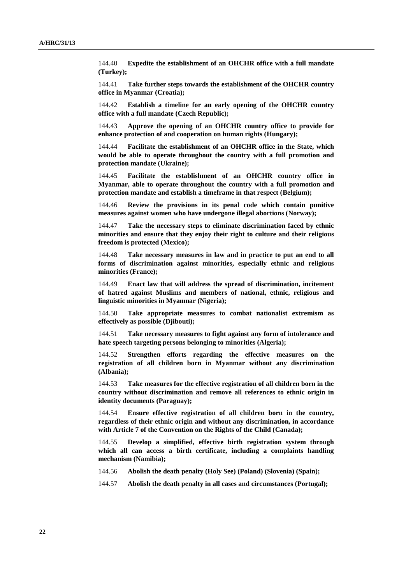144.40 **Expedite the establishment of an OHCHR office with a full mandate (Turkey);**

144.41 **Take further steps towards the establishment of the OHCHR country office in Myanmar (Croatia);**

144.42 **Establish a timeline for an early opening of the OHCHR country office with a full mandate (Czech Republic);**

144.43 **Approve the opening of an OHCHR country office to provide for enhance protection of and cooperation on human rights (Hungary);**

144.44 **Facilitate the establishment of an OHCHR office in the State, which would be able to operate throughout the country with a full promotion and protection mandate (Ukraine);**

144.45 **Facilitate the establishment of an OHCHR country office in Myanmar, able to operate throughout the country with a full promotion and protection mandate and establish a timeframe in that respect (Belgium);**

144.46 **Review the provisions in its penal code which contain punitive measures against women who have undergone illegal abortions (Norway);**

144.47 **Take the necessary steps to eliminate discrimination faced by ethnic minorities and ensure that they enjoy their right to culture and their religious freedom is protected (Mexico);**

144.48 **Take necessary measures in law and in practice to put an end to all forms of discrimination against minorities, especially ethnic and religious minorities (France);**

144.49 **Enact law that will address the spread of discrimination, incitement of hatred against Muslims and members of national, ethnic, religious and linguistic minorities in Myanmar (Nigeria);**

144.50 **Take appropriate measures to combat nationalist extremism as effectively as possible (Djibouti);**

144.51 **Take necessary measures to fight against any form of intolerance and hate speech targeting persons belonging to minorities (Algeria);**

144.52 **Strengthen efforts regarding the effective measures on the registration of all children born in Myanmar without any discrimination (Albania);**

144.53 **Take measures for the effective registration of all children born in the country without discrimination and remove all references to ethnic origin in identity documents (Paraguay);**

144.54 **Ensure effective registration of all children born in the country, regardless of their ethnic origin and without any discrimination, in accordance with Article 7 of the Convention on the Rights of the Child (Canada);**

144.55 **Develop a simplified, effective birth registration system through which all can access a birth certificate, including a complaints handling mechanism (Namibia);**

144.56 **Abolish the death penalty (Holy See) (Poland) (Slovenia) (Spain);**

144.57 **Abolish the death penalty in all cases and circumstances (Portugal);**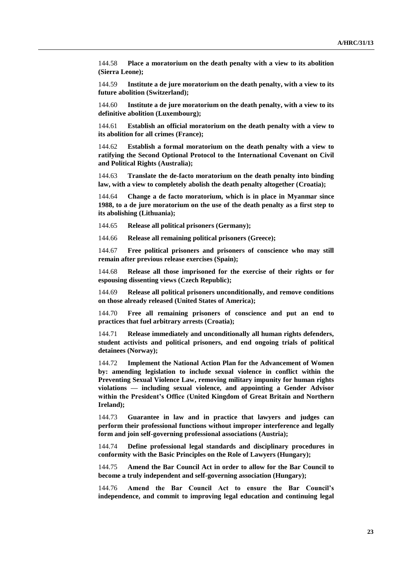144.58 **Place a moratorium on the death penalty with a view to its abolition (Sierra Leone);**

144.59 **Institute a de jure moratorium on the death penalty, with a view to its future abolition (Switzerland);**

144.60 **Institute a de jure moratorium on the death penalty, with a view to its definitive abolition (Luxembourg);**

144.61 **Establish an official moratorium on the death penalty with a view to its abolition for all crimes (France);**

144.62 **Establish a formal moratorium on the death penalty with a view to ratifying the Second Optional Protocol to the International Covenant on Civil and Political Rights (Australia);**

144.63 **Translate the de-facto moratorium on the death penalty into binding law, with a view to completely abolish the death penalty altogether (Croatia);**

144.64 **Change a de facto moratorium, which is in place in Myanmar since 1988, to a de jure moratorium on the use of the death penalty as a first step to its abolishing (Lithuania);**

144.65 **Release all political prisoners (Germany);**

144.66 **Release all remaining political prisoners (Greece);**

144.67 **Free political prisoners and prisoners of conscience who may still remain after previous release exercises (Spain);**

144.68 **Release all those imprisoned for the exercise of their rights or for espousing dissenting views (Czech Republic);**

144.69 **Release all political prisoners unconditionally, and remove conditions on those already released (United States of America);**

144.70 **Free all remaining prisoners of conscience and put an end to practices that fuel arbitrary arrests (Croatia);**

144.71 **Release immediately and unconditionally all human rights defenders, student activists and political prisoners, and end ongoing trials of political detainees (Norway);**

144.72 **Implement the National Action Plan for the Advancement of Women by: amending legislation to include sexual violence in conflict within the Preventing Sexual Violence Law, removing military impunity for human rights violations — including sexual violence, and appointing a Gender Advisor within the President's Office (United Kingdom of Great Britain and Northern Ireland);**

144.73 **Guarantee in law and in practice that lawyers and judges can perform their professional functions without improper interference and legally form and join self-governing professional associations (Austria);**

144.74 **Define professional legal standards and disciplinary procedures in conformity with the Basic Principles on the Role of Lawyers (Hungary);**

144.75 **Amend the Bar Council Act in order to allow for the Bar Council to become a truly independent and self-governing association (Hungary);**

144.76 **Amend the Bar Council Act to ensure the Bar Council's independence, and commit to improving legal education and continuing legal**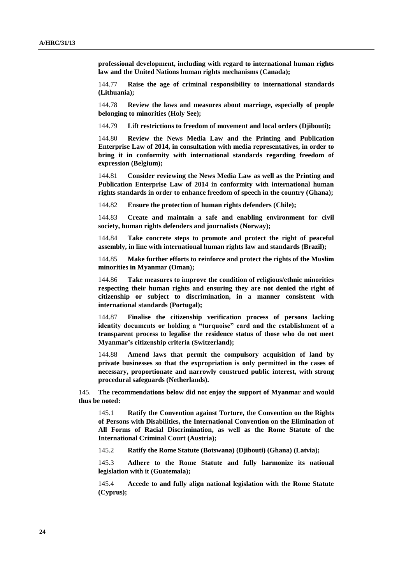**professional development, including with regard to international human rights law and the United Nations human rights mechanisms (Canada);**

144.77 **Raise the age of criminal responsibility to international standards (Lithuania);**

144.78 **Review the laws and measures about marriage, especially of people belonging to minorities (Holy See);**

144.79 **Lift restrictions to freedom of movement and local orders (Djibouti);**

144.80 **Review the News Media Law and the Printing and Publication Enterprise Law of 2014, in consultation with media representatives, in order to bring it in conformity with international standards regarding freedom of expression (Belgium);**

144.81 **Consider reviewing the News Media Law as well as the Printing and Publication Enterprise Law of 2014 in conformity with international human rights standards in order to enhance freedom of speech in the country (Ghana);**

144.82 **Ensure the protection of human rights defenders (Chile);**

144.83 **Create and maintain a safe and enabling environment for civil society, human rights defenders and journalists (Norway);**

144.84 **Take concrete steps to promote and protect the right of peaceful assembly, in line with international human rights law and standards (Brazil);**

144.85 **Make further efforts to reinforce and protect the rights of the Muslim minorities in Myanmar (Oman);**

144.86 **Take measures to improve the condition of religious/ethnic minorities respecting their human rights and ensuring they are not denied the right of citizenship or subject to discrimination, in a manner consistent with international standards (Portugal);**

144.87 **Finalise the citizenship verification process of persons lacking identity documents or holding a "turquoise" card and the establishment of a transparent process to legalise the residence status of those who do not meet Myanmar's citizenship criteria (Switzerland);**

144.88 **Amend laws that permit the compulsory acquisition of land by private businesses so that the expropriation is only permitted in the cases of necessary, proportionate and narrowly construed public interest, with strong procedural safeguards (Netherlands).**

145. **The recommendations below did not enjoy the support of Myanmar and would thus be noted:**

145.1 **Ratify the Convention against Torture, the Convention on the Rights of Persons with Disabilities, the International Convention on the Elimination of All Forms of Racial Discrimination, as well as the Rome Statute of the International Criminal Court (Austria);**

145.2 **Ratify the Rome Statute (Botswana) (Djibouti) (Ghana) (Latvia);**

145.3 **Adhere to the Rome Statute and fully harmonize its national legislation with it (Guatemala);**

145.4 **Accede to and fully align national legislation with the Rome Statute (Cyprus);**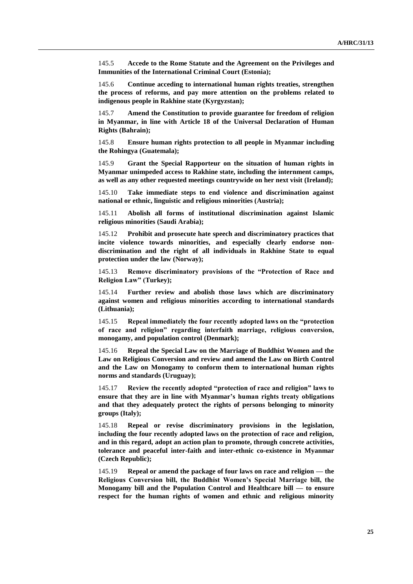145.5 **Accede to the Rome Statute and the Agreement on the Privileges and Immunities of the International Criminal Court (Estonia);**

145.6 **Continue acceding to international human rights treaties, strengthen the process of reforms, and pay more attention on the problems related to indigenous people in Rakhine state (Kyrgyzstan);**

145.7 **Amend the Constitution to provide guarantee for freedom of religion in Myanmar, in line with Article 18 of the Universal Declaration of Human Rights (Bahrain);**

145.8 **Ensure human rights protection to all people in Myanmar including the Rohingya (Guatemala);**

145.9 **Grant the Special Rapporteur on the situation of human rights in Myanmar unimpeded access to Rakhine state, including the internment camps, as well as any other requested meetings countrywide on her next visit (Ireland);**

145.10 **Take immediate steps to end violence and discrimination against national or ethnic, linguistic and religious minorities (Austria);**

145.11 **Abolish all forms of institutional discrimination against Islamic religious minorities (Saudi Arabia);**

145.12 **Prohibit and prosecute hate speech and discriminatory practices that incite violence towards minorities, and especially clearly endorse nondiscrimination and the right of all individuals in Rakhine State to equal protection under the law (Norway);**

145.13 **Remove discriminatory provisions of the "Protection of Race and Religion Law" (Turkey);**

145.14 **Further review and abolish those laws which are discriminatory against women and religious minorities according to international standards (Lithuania);**

145.15 **Repeal immediately the four recently adopted laws on the "protection of race and religion" regarding interfaith marriage, religious conversion, monogamy, and population control (Denmark);**

145.16 **Repeal the Special Law on the Marriage of Buddhist Women and the Law on Religious Conversion and review and amend the Law on Birth Control and the Law on Monogamy to conform them to international human rights norms and standards (Uruguay);**

145.17 **Review the recently adopted "protection of race and religion" laws to ensure that they are in line with Myanmar's human rights treaty obligations and that they adequately protect the rights of persons belonging to minority groups (Italy);**

145.18 **Repeal or revise discriminatory provisions in the legislation, including the four recently adopted laws on the protection of race and religion, and in this regard, adopt an action plan to promote, through concrete activities, tolerance and peaceful inter-faith and inter-ethnic co-existence in Myanmar (Czech Republic);**

145.19 **Repeal or amend the package of four laws on race and religion — the Religious Conversion bill, the Buddhist Women's Special Marriage bill, the Monogamy bill and the Population Control and Healthcare bill — to ensure respect for the human rights of women and ethnic and religious minority**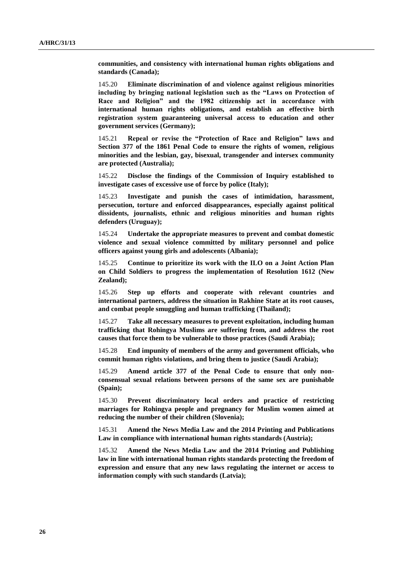**communities, and consistency with international human rights obligations and standards (Canada);**

145.20 **Eliminate discrimination of and violence against religious minorities including by bringing national legislation such as the "Laws on Protection of Race and Religion" and the 1982 citizenship act in accordance with international human rights obligations, and establish an effective birth registration system guaranteeing universal access to education and other government services (Germany);**

145.21 **Repeal or revise the "Protection of Race and Religion" laws and Section 377 of the 1861 Penal Code to ensure the rights of women, religious minorities and the lesbian, gay, bisexual, transgender and intersex community are protected (Australia);**

145.22 **Disclose the findings of the Commission of Inquiry established to investigate cases of excessive use of force by police (Italy);** 

145.23 **Investigate and punish the cases of intimidation, harassment, persecution, torture and enforced disappearances, especially against political dissidents, journalists, ethnic and religious minorities and human rights defenders (Uruguay);**

145.24 **Undertake the appropriate measures to prevent and combat domestic violence and sexual violence committed by military personnel and police officers against young girls and adolescents (Albania);**

145.25 **Continue to prioritize its work with the ILO on a Joint Action Plan on Child Soldiers to progress the implementation of Resolution 1612 (New Zealand);**

145.26 **Step up efforts and cooperate with relevant countries and international partners, address the situation in Rakhine State at its root causes, and combat people smuggling and human trafficking (Thailand);**

145.27 **Take all necessary measures to prevent exploitation, including human trafficking that Rohingya Muslims are suffering from, and address the root causes that force them to be vulnerable to those practices (Saudi Arabia);**

145.28 **End impunity of members of the army and government officials, who commit human rights violations, and bring them to justice (Saudi Arabia);**

145.29 **Amend article 377 of the Penal Code to ensure that only nonconsensual sexual relations between persons of the same sex are punishable (Spain);**

145.30 **Prevent discriminatory local orders and practice of restricting marriages for Rohingya people and pregnancy for Muslim women aimed at reducing the number of their children (Slovenia);**

145.31 **Amend the News Media Law and the 2014 Printing and Publications Law in compliance with international human rights standards (Austria);**

145.32 **Amend the News Media Law and the 2014 Printing and Publishing law in line with international human rights standards protecting the freedom of expression and ensure that any new laws regulating the internet or access to information comply with such standards (Latvia);**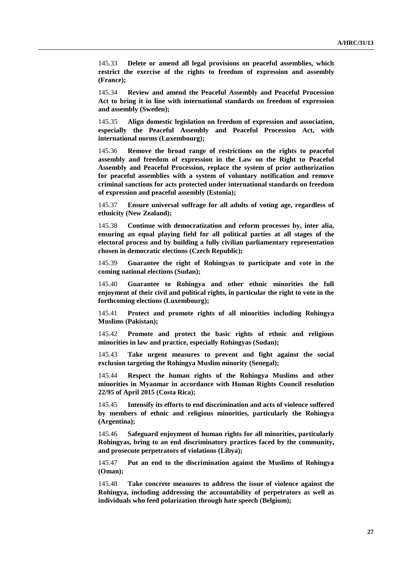145.33 **Delete or amend all legal provisions on peaceful assemblies, which restrict the exercise of the rights to freedom of expression and assembly (France);**

145.34 **Review and amend the Peaceful Assembly and Peaceful Procession Act to bring it in line with international standards on freedom of expression and assembly (Sweden);**

145.35 **Align domestic legislation on freedom of expression and association, especially the Peaceful Assembly and Peaceful Procession Act, with international norms (Luxembourg);**

145.36 **Remove the broad range of restrictions on the rights to peaceful assembly and freedom of expression in the Law on the Right to Peaceful Assembly and Peaceful Procession, replace the system of prior authorization for peaceful assemblies with a system of voluntary notification and remove criminal sanctions for acts protected under international standards on freedom of expression and peaceful assembly (Estonia);**

145.37 **Ensure universal suffrage for all adults of voting age, regardless of ethnicity (New Zealand);**

145.38 **Continue with democratization and reform processes by, inter alia, ensuring an equal playing field for all political parties at all stages of the electoral process and by building a fully civilian parliamentary representation chosen in democratic elections (Czech Republic);**

145.39 **Guarantee the right of Rohingyas to participate and vote in the coming national elections (Sudan);**

145.40 **Guarantee to Rohingya and other ethnic minorities the full enjoyment of their civil and political rights, in particular the right to vote in the forthcoming elections (Luxembourg);**

145.41 **Protect and promote rights of all minorities including Rohingya Muslims (Pakistan);**

145.42 **Promote and protect the basic rights of ethnic and religious minorities in law and practice, especially Rohingyas (Sudan);**

145.43 **Take urgent measures to prevent and fight against the social exclusion targeting the Rohingya Muslim minority (Senegal);**

145.44 **Respect the human rights of the Rohingya Muslims and other minorities in Myanmar in accordance with Human Rights Council resolution 22/95 of April 2015 (Costa Rica);**

145.45 **Intensify its efforts to end discrimination and acts of violence suffered by members of ethnic and religious minorities, particularly the Rohingya (Argentina);**

145.46 **Safeguard enjoyment of human rights for all minorities, particularly Rohingyas, bring to an end discriminatory practices faced by the community, and prosecute perpetrators of violations (Libya);**

145.47 **Put an end to the discrimination against the Muslims of Rohingya (Oman);**

145.48 **Take concrete measures to address the issue of violence against the Rohingya, including addressing the accountability of perpetrators as well as individuals who feed polarization through hate speech (Belgium);**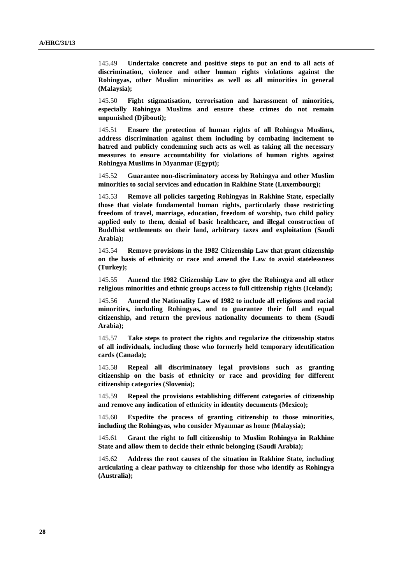145.49 **Undertake concrete and positive steps to put an end to all acts of discrimination, violence and other human rights violations against the Rohingyas, other Muslim minorities as well as all minorities in general (Malaysia);**

145.50 **Fight stigmatisation, terrorisation and harassment of minorities, especially Rohingya Muslims and ensure these crimes do not remain unpunished (Djibouti);**

145.51 **Ensure the protection of human rights of all Rohingya Muslims, address discrimination against them including by combating incitement to hatred and publicly condemning such acts as well as taking all the necessary measures to ensure accountability for violations of human rights against Rohingya Muslims in Myanmar (Egypt);**

145.52 **Guarantee non-discriminatory access by Rohingya and other Muslim minorities to social services and education in Rakhine State (Luxembourg);**

145.53 **Remove all policies targeting Rohingyas in Rakhine State, especially those that violate fundamental human rights, particularly those restricting freedom of travel, marriage, education, freedom of worship, two child policy applied only to them, denial of basic healthcare, and illegal construction of Buddhist settlements on their land, arbitrary taxes and exploitation (Saudi Arabia);**

145.54 **Remove provisions in the 1982 Citizenship Law that grant citizenship on the basis of ethnicity or race and amend the Law to avoid statelessness (Turkey);**

145.55 **Amend the 1982 Citizenship Law to give the Rohingya and all other religious minorities and ethnic groups access to full citizenship rights (Iceland);**

145.56 **Amend the Nationality Law of 1982 to include all religious and racial minorities, including Rohingyas, and to guarantee their full and equal citizenship, and return the previous nationality documents to them (Saudi Arabia);**

145.57 **Take steps to protect the rights and regularize the citizenship status of all individuals, including those who formerly held temporary identification cards (Canada);**

145.58 **Repeal all discriminatory legal provisions such as granting citizenship on the basis of ethnicity or race and providing for different citizenship categories (Slovenia);**

145.59 **Repeal the provisions establishing different categories of citizenship and remove any indication of ethnicity in identity documents (Mexico);**

145.60 **Expedite the process of granting citizenship to those minorities, including the Rohingyas, who consider Myanmar as home (Malaysia);**

145.61 **Grant the right to full citizenship to Muslim Rohingya in Rakhine State and allow them to decide their ethnic belonging (Saudi Arabia);**

145.62 **Address the root causes of the situation in Rakhine State, including articulating a clear pathway to citizenship for those who identify as Rohingya (Australia);**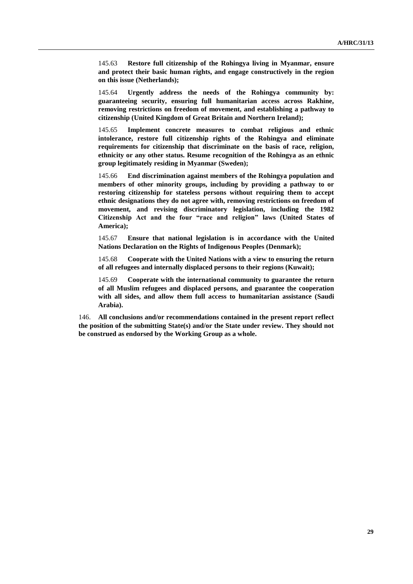145.63 **Restore full citizenship of the Rohingya living in Myanmar, ensure and protect their basic human rights, and engage constructively in the region on this issue (Netherlands);**

145.64 **Urgently address the needs of the Rohingya community by: guaranteeing security, ensuring full humanitarian access across Rakhine, removing restrictions on freedom of movement, and establishing a pathway to citizenship (United Kingdom of Great Britain and Northern Ireland);**

145.65 **Implement concrete measures to combat religious and ethnic intolerance, restore full citizenship rights of the Rohingya and eliminate requirements for citizenship that discriminate on the basis of race, religion, ethnicity or any other status. Resume recognition of the Rohingya as an ethnic group legitimately residing in Myanmar (Sweden);**

145.66 **End discrimination against members of the Rohingya population and members of other minority groups, including by providing a pathway to or restoring citizenship for stateless persons without requiring them to accept ethnic designations they do not agree with, removing restrictions on freedom of movement, and revising discriminatory legislation, including the 1982 Citizenship Act and the four "race and religion" laws (United States of America);**

145.67 **Ensure that national legislation is in accordance with the United Nations Declaration on the Rights of Indigenous Peoples (Denmark);**

145.68 **Cooperate with the United Nations with a view to ensuring the return of all refugees and internally displaced persons to their regions (Kuwait);**

145.69 **Cooperate with the international community to guarantee the return of all Muslim refugees and displaced persons, and guarantee the cooperation with all sides, and allow them full access to humanitarian assistance (Saudi Arabia).**

146. **All conclusions and/or recommendations contained in the present report reflect the position of the submitting State(s) and/or the State under review. They should not be construed as endorsed by the Working Group as a whole.**